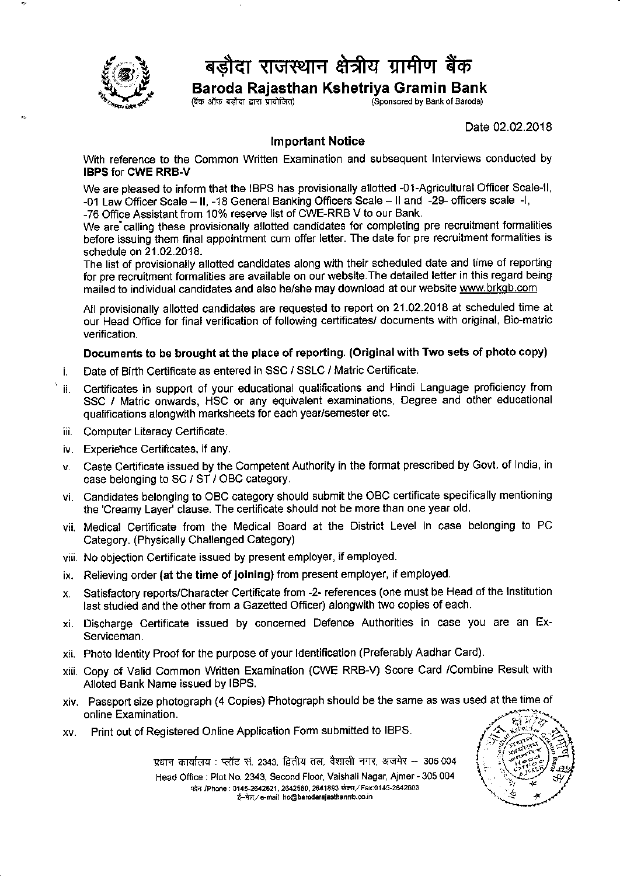

## बड़ौदा राजस्थान क्षेत्रीय ग्रामीण बैंक

Baroda Rajasthan Kshetriya Gramin Bank

(Sponsored by Bank of Baroda)

Date 02.02.2018

## lmportant Notice

With reference to the Common Written Examination and subsequent lnterviews conducted by IBPS for CWE RRB.V

We are pleased to inform that the IBPS has provisionally allotted -01-Agricultural Officer Scale-ll, -01 Law Officer Scale - II, -18 General Banking Officers Scale - II and -29- officers scale -I.

-76 Office Assistant from 10% reserve list of CWE-RRB V to our Bank.

We are calling these provisionally allotted candidates for completing pre recruitment formalities before issuing them final appointment cum offer letter. The date for pre recruitment formaiities is schedule on 21.02.2018.

The list of provisionally allotted candidates along with their scheduled date and time of reporting for pre recruitment formalities are available on our website. The detailed letter in this regard being mailed to individual candidates and also he/she may download at our website www.brkgb.com

All provisionally allotted candidates are requested to report on 21.02.2018 at scheduled time at our Head Office for final verification of following certificates/ documents with original, Bio-matric verification.

## Documents to be brought at the place of reporting. (Original with Two sets of photo copy)

- t. Date of Birth Certificate as entered in SSC / SSLC / Matric Certificate
- [. Certificates in support of your educational qualifications and Hindi Language proficiency from SSC / Matric onwards, HSC or any equivalent examinations, Degree and other educational qualifications alongwith marksheets for each yearlsemester etc.
- . Computer Literacy Certificate.
- Experiehce Certificates, if any.
- Caste Certificate issued by the Competent Authority in the format prescribed by Govt. of lndia, in V. case belonging to SC / ST / OBC category.
- Candidates belonging to OBC category should submit the OBC certificate specifically mentioning the 'Creamy Layer' clause. The certificate should not be more than one year old.
- vii. Medical Certificate from the Medical Board at the District Level in case belonging to PC Category. (Physically Challenged Category)
- viii. No objection Certificate issued by present employer, if employed.
- ix. Relieving order (at the time of jolning) from present employer, if employed.
- Satisfactory reports/Character Certificate from -2- references (one must be Head of the lnstitution Х. last studied and the other from a Gazetted Officer) alongwith two copies of each.
- xi. Discharge Certificate issued by concerned Defence Authorities in case you are an Ex-Serviceman.
- xii. Photo ldentity Proof for the purpose of your ldentification (Preferably Aadhar Card).
- xiii. Copy ot Valid Common Written Examination (CWE RRB-V) Score Card /Combine Result with Alloted Bank Name issued by IBPS.
- xiv. Passport size photograph (4 copies) Photograph should be the same as was used at the time of online Examination.
- xy. Print out of Registered Online Application Form submitted to IBPS.



yधान कार्यालय : प्लॉट सं. 2343, द्वितीय तल, वैशाली नगर, अजमेर -- 305 004

Head Office: Plot No. 2343, Second Floor, Vaishali Nagar, Ajmer - 305 004 फोन /Phone: 0145-2642521, 2642580, 2641893 फेक्स / Fax:0145-2642603 '''' = ''=="'', = ''=="', = ''''''''<br>ई—मेल ⁄'e-mail ho@barodarajasthanrrb.co.in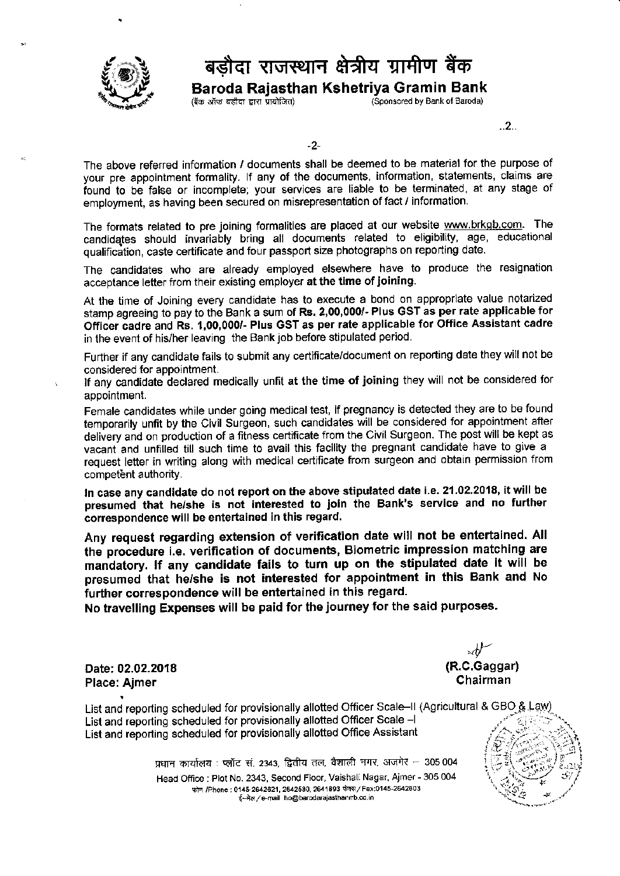

## बड़ौदा राजस्थान क्षेत्रीय ग्रामीण बैंक

**Baroda Rajasthan Kshetriya Gramin Bank**<br>(बैंक ऑफ बड़ौदा द्वारा प्रायोजित) (Sponsored by Bank of Baroda)

(Sponsored by Bank of Baroda)

..2..

-2-

The above referred information / documents shall be deemed to be material for the purpose of your pre appointment formality. lf any of the documents, information, statements, claims are found to be false or incomplete; your services are liable to be terminated, at any stage of employment, as having been secured on misrepresentation of fact / information.

The formats related to pre joining formalities are placed at our website www.brkgb.com. The candidqtes should invariably bring all documents related to eligibility, age, educational qualification, caste certificate and four passport size photographs on reporting date.

The candidates who are already employed elsewhere have to produce the resignation acceptance letter from their existing employer at the time of joining.

At the time of Joining every candidate has to execute a bond on appropriate value notarized stamp agreeing to pay to the Bank a sum of Rs. 2,00,000/- Plus GST as per rate applicable for Officer aadre and Rs. t,OO,OO0/- Plus GST as per rate applicable for Office Assistant cadre in the event ot his/her leaving the Bankjob before stipulated period.

Further if any candidate fails to submit any certificate/document on reporting date they will not be considered for appointment.

appointment. lf any candidate declared medically unfit at the time of joining they will not be considered for

Female candidates while under going medical test, if pregnancy is detected they are to be found temporarily unfit by the Civil Surgeon, such candidates will be considered for appointment after delivery and on production of a fitness certificate from the Civil Surgeon. The post will be kept as vacant and unfilled till such time to avail this facility the pregnant candidate have to give <sup>a</sup> request letter in writing along with medical certificate from surgeon and obtain permission from competent authority.

In case any candidate do not report on the above stipulated date i.e. 21.02.2018, it will be presumed that he/she is not interested to joln the Bank's service and no furlher correspondence will be entertained in this regard.

Any request regarding extension of veritication date will not be entertained. All the procedure i.e. veritication of documents, Biometric impression matching are mandatory. lf any candidate fails to turn up on the stipulated date it will be presumed that he/she is not inierested for appointment in this Bank and No further correspondence will be entertained in this regard.

No travelling Expenses will be paid for the journey for the said purposes.

Date;02.02.2018 Place: Aimer

(R.C.Gaggar) Chairman

List and reporting scheduled for provisionally allotted Officer Scale–II (Agricultural & GBO & Law) List and reporting scheduled for provisionally allotted Officer Scale -l List and reporting scheduled for provisionally allotted Office Assistant

प्रधान कार्यालय : प्लॉट सं, 2343, द्वितीय तल, वैशाली नगर, अजमेर — 305 004

Head Office: Plot No. 2343, Second Floor, Vaishali Nagar, Ajmer - 305 004 फोन /Phone: 0145-2642621, 2642580, 2641893 फेक्स / Fax:0145-2642603 {-मेल / e-mail ho@barodarajasthanrrb.co.in

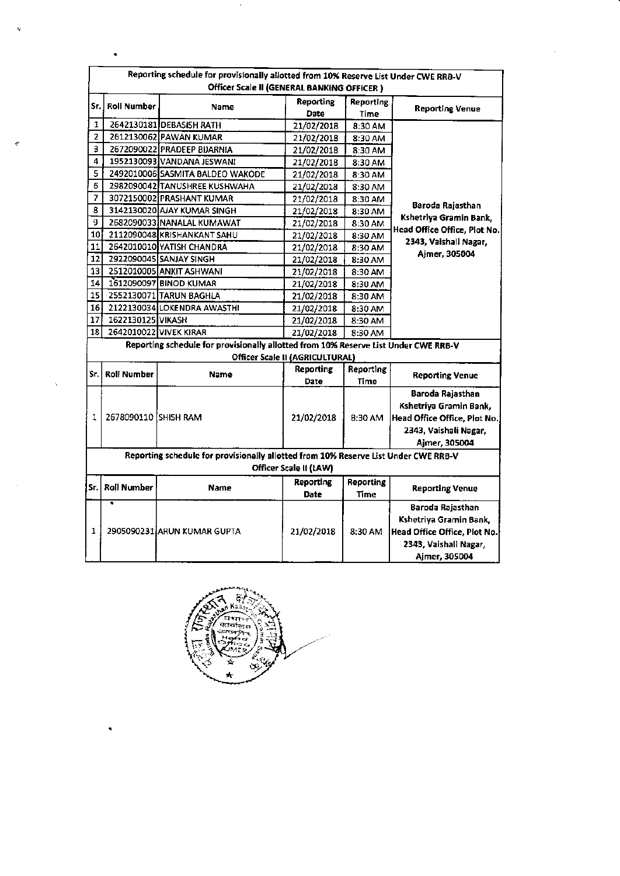|                                                                                                               | Reporting schedule for provisionally allotted from 10% Reserve List Under CWE RRB-V<br>Officer Scale II (GENERAL BANKING OFFICER) |                                                                                     |                                        |                   |                              |  |  |
|---------------------------------------------------------------------------------------------------------------|-----------------------------------------------------------------------------------------------------------------------------------|-------------------------------------------------------------------------------------|----------------------------------------|-------------------|------------------------------|--|--|
| Sr.                                                                                                           | <b>Roll Number</b>                                                                                                                | <b>Name</b>                                                                         | Reporting<br>Date                      | Reporting<br>Time | <b>Reporting Venue</b>       |  |  |
| 1                                                                                                             |                                                                                                                                   | 2642130181 DEBASISH RATH                                                            | 21/02/2018                             | 8:30 AM           |                              |  |  |
| $\overline{\mathbf{2}}$                                                                                       |                                                                                                                                   | 2612130062 PAWAN KUMAR                                                              | 21/02/2018                             | 8:30 AM           |                              |  |  |
| 3                                                                                                             |                                                                                                                                   | 2672090022 PRADEEP BIJARNIA                                                         | 21/02/2018                             | 8:30 AM           |                              |  |  |
| 4                                                                                                             |                                                                                                                                   | 1952130093 VANDANA JESWANI                                                          | 21/02/2018                             | 8:30 AM           |                              |  |  |
| 5                                                                                                             |                                                                                                                                   | 2492010006 SASMITA BALDEO WAKODE                                                    | 21/02/2018                             | 8:30 AM           |                              |  |  |
| 6                                                                                                             |                                                                                                                                   | 2982090042 TANUSHREE KUSHWAHA                                                       | 21/02/2018                             | 8:30 AM           |                              |  |  |
| 7                                                                                                             |                                                                                                                                   | 3072150002 PRASHANT KUMAR                                                           | 21/02/2018                             | 8:30 AM           |                              |  |  |
| 8                                                                                                             |                                                                                                                                   | 3142130020 AJAY KUMAR SINGH                                                         | 21/02/2018                             | 8:30 AM           | Baroda Rajasthan             |  |  |
| 9                                                                                                             |                                                                                                                                   | 2682090033 NANALAL KUMAWAT                                                          | 21/02/2018                             | 8:30 AM           | Kshetriya Gramin Bank,       |  |  |
| 10                                                                                                            |                                                                                                                                   | 2112090048 KRISHANKANT SAHU                                                         | 21/02/2018                             | 8:30 AM           | Head Office Office, Plot No. |  |  |
| 11                                                                                                            |                                                                                                                                   | 2642010010 YATISH CHANDRA                                                           | 21/02/2018                             | 8:30 AM           | 2343, Vaishali Nagar,        |  |  |
| 12                                                                                                            |                                                                                                                                   | 2922090045 SANJAY SINGH                                                             | 21/02/2018                             | 8:30 AM           | Ajmer, 305004                |  |  |
| 13                                                                                                            |                                                                                                                                   | 2512010005 ANKIT ASHWANI                                                            | 21/02/2018                             | 8:30 AM           |                              |  |  |
| 14                                                                                                            |                                                                                                                                   | 1612090097 BINOD KUMAR                                                              | 21/02/2018                             | 8:30 AM           |                              |  |  |
| 15                                                                                                            |                                                                                                                                   | 2552130071 TARUN BAGHLA                                                             | 21/02/2018                             | 8:30 AM           |                              |  |  |
| 16                                                                                                            |                                                                                                                                   | 2122130034 LOKENDRA AWASTHI                                                         | 21/02/2018                             | 8:30 AM           |                              |  |  |
| 17                                                                                                            | 1622130125 VIKASH                                                                                                                 |                                                                                     | 21/02/2018                             | 8:30 AM           |                              |  |  |
| 18                                                                                                            |                                                                                                                                   | 2642010022 VIVEK KIRAR                                                              | 21/02/2018                             | 8:30 AM           |                              |  |  |
|                                                                                                               |                                                                                                                                   | Reporting schedule for provisionally allotted from 10% Reserve List Under CWE RRB-V |                                        |                   |                              |  |  |
|                                                                                                               |                                                                                                                                   |                                                                                     | <b>Officer Scale II (AGRICULTURAL)</b> |                   |                              |  |  |
| Sr.                                                                                                           | <b>Roll Number</b>                                                                                                                | <b>Name</b>                                                                         | <b>Reporting</b>                       | Reporting         | <b>Reporting Venue</b>       |  |  |
|                                                                                                               |                                                                                                                                   |                                                                                     | Date                                   | Time              |                              |  |  |
|                                                                                                               |                                                                                                                                   | 2678090110 [SHISH RAM                                                               | 21/02/2018                             | 8:30 AM           | Baroda Rajasthan             |  |  |
|                                                                                                               |                                                                                                                                   |                                                                                     |                                        |                   | Kshetriya Gramin Bank,       |  |  |
| 1                                                                                                             |                                                                                                                                   |                                                                                     |                                        |                   | Head Office Office, Plot No. |  |  |
|                                                                                                               |                                                                                                                                   |                                                                                     |                                        |                   | 2343, Vaishali Nagar,        |  |  |
|                                                                                                               |                                                                                                                                   |                                                                                     |                                        |                   | Ajmer, 305004                |  |  |
| Reporting schedule for provisionally allotted from 10% Reserve List Under CWE RRB-V<br>Officer Scale II (LAW) |                                                                                                                                   |                                                                                     |                                        |                   |                              |  |  |
| Sr.                                                                                                           | <b>Roll Number</b>                                                                                                                | <b>Name</b>                                                                         | Reporting                              | Reporting         |                              |  |  |
|                                                                                                               |                                                                                                                                   |                                                                                     | <b>Date</b>                            | Time              | <b>Reporting Venue</b>       |  |  |
|                                                                                                               | 4                                                                                                                                 | 2905090231 ARUN KUMAR GUPTA                                                         |                                        | 8:30 AM           | Baroda Rajasthan             |  |  |
|                                                                                                               |                                                                                                                                   |                                                                                     | 21/02/2018                             |                   | Kshetriya Gramin Bank,       |  |  |
| 1                                                                                                             |                                                                                                                                   |                                                                                     |                                        |                   | Head Office Office, Plot No. |  |  |
|                                                                                                               |                                                                                                                                   |                                                                                     |                                        |                   | 2343, Vaishali Nagar,        |  |  |
|                                                                                                               |                                                                                                                                   |                                                                                     |                                        |                   | Ajmer, 305004                |  |  |

 $\cdot$ 

 $\bullet$ 

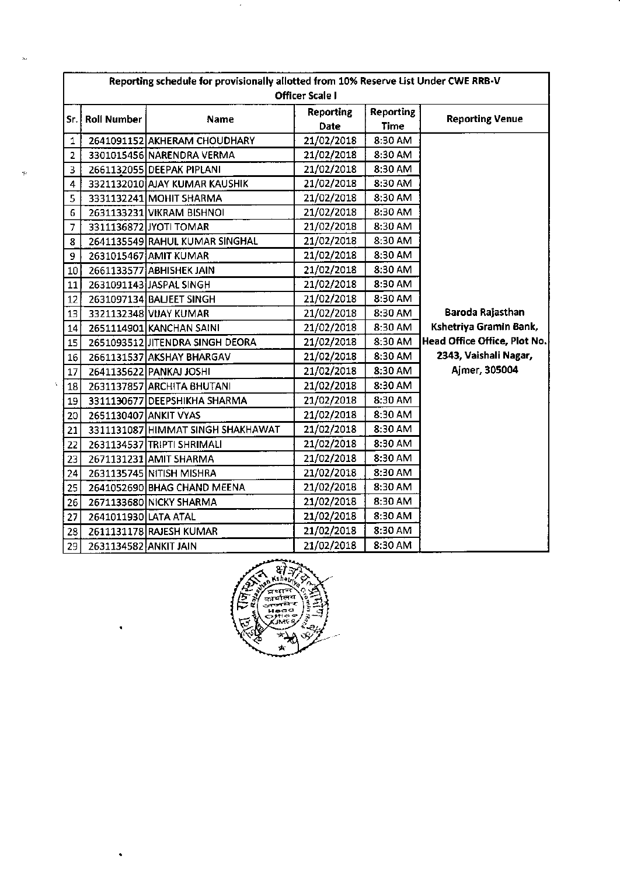|                | Reporting schedule for provisionally allotted from 10% Reserve List Under CWE RRB-V |                                   |                  |                  |                              |  |  |
|----------------|-------------------------------------------------------------------------------------|-----------------------------------|------------------|------------------|------------------------------|--|--|
|                | <b>Officer Scale I</b>                                                              |                                   |                  |                  |                              |  |  |
|                |                                                                                     | Name                              | <b>Reporting</b> | <b>Reporting</b> | <b>Reporting Venue</b>       |  |  |
| Sr. l          | <b>Roll Number</b>                                                                  |                                   | Date             | Time             |                              |  |  |
| 1              |                                                                                     | 2641091152 AKHERAM CHOUDHARY      | 21/02/2018       | 8:30 AM          |                              |  |  |
| 2              |                                                                                     | 3301015456 NARENDRA VERMA         | 21/02/2018       | 8:30 AM          |                              |  |  |
| 3              |                                                                                     | 2661132055 DEEPAK PIPLANI         | 21/02/2018       | 8:30 AM          |                              |  |  |
| 4              |                                                                                     | 3321132010 AJAY KUMAR KAUSHIK     | 21/02/2018       | 8:30 AM          |                              |  |  |
| 5              |                                                                                     | 3331132241 MOHIT SHARMA           | 21/02/2018       | 8:30 AM          |                              |  |  |
| 6              |                                                                                     | 2631133231 VIKRAM BISHNOI         | 21/02/2018       | 8:30 AM          |                              |  |  |
| $\overline{7}$ |                                                                                     | 3311136872 JYOTI TOMAR            | 21/02/2018       | 8:30 AM          |                              |  |  |
| 8              |                                                                                     | 2641135549 RAHUL KUMAR SINGHAL    | 21/02/2018       | 8:30 AM          |                              |  |  |
| 9.             |                                                                                     | 2631015467 AMIT KUMAR             | 21/02/2018       | 8:30 AM          |                              |  |  |
| 10             |                                                                                     | 2661133577 ABHISHEK JAIN          | 21/02/2018       | 8:30 AM          |                              |  |  |
| 11             |                                                                                     | 2631091143 JASPAL SINGH           | 21/02/2018       | 8:30 AM          |                              |  |  |
| 12             |                                                                                     | 2631097134 BAUEET SINGH           | 21/02/2018       | 8:30 AM          |                              |  |  |
| 13             |                                                                                     | 3321132348 VIJAY KUMAR            | 21/02/2018       | 8:30 AM          | Baroda Rajasthan             |  |  |
| 14             |                                                                                     | 2651114901 KANCHAN SAINI          | 21/02/2018       | 8:30 AM          | Kshetriya Gramin Bank,       |  |  |
| 15             |                                                                                     | 2651093512 JITENDRA SINGH DEORA   | 21/02/2018       | 8:30 AM          | Head Office Office, Plot No. |  |  |
| 16             |                                                                                     | 2661131537 AKSHAY BHARGAV         | 21/02/2018       | 8:30 AM          | 2343, Vaishali Nagar,        |  |  |
| 17             |                                                                                     | 2641135622 PANKAJ JOSHI           | 21/02/2018       | 8:30 AM          | Ajmer, 305004                |  |  |
| Ą.<br>18       |                                                                                     | 2631137857 ARCHITA BHUTANI        | 21/02/2018       | 8:30 AM          |                              |  |  |
| 19             |                                                                                     | 3311130677 DEEPSHIKHA SHARMA      | 21/02/2018       | 8:30 AM          |                              |  |  |
| 20             | 2651130407 ANKIT VYAS                                                               |                                   | 21/02/2018       | 8:30 AM          |                              |  |  |
| 21             |                                                                                     | 3311131087 HIMMAT SINGH SHAKHAWAT | 21/02/2018       | 8:30 AM          |                              |  |  |
| 22             |                                                                                     | 2631134537 TRIPTI SHRIMALI        | 21/02/2018       | 8:30 AM          |                              |  |  |
| 23             |                                                                                     | 2671131231 AMIT SHARMA            | 21/02/2018       | 8:30 AM          |                              |  |  |
| 24             |                                                                                     | 2631135745 NITISH MISHRA          | 21/02/2018       | 8:30 AM          |                              |  |  |
| 25             |                                                                                     | 2641052690 BHAG CHAND MEENA       | 21/02/2018       | 8:30 AM          |                              |  |  |
| 26             |                                                                                     | 2671133680 NICKY SHARMA           | 21/02/2018       | 8:30 AM          |                              |  |  |
| 27             | 2641011930 LATA ATAL                                                                |                                   | 21/02/2018       | 8:30 AM          |                              |  |  |
| 28             |                                                                                     | 2611131178 RAJESH KUMAR           | 21/02/2018       | 8:30 AM          |                              |  |  |
| 29             | 2631134582 ANKIT JAIN                                                               |                                   | 21/02/2018       | 8:30 AM          |                              |  |  |

 $\epsilon$ 

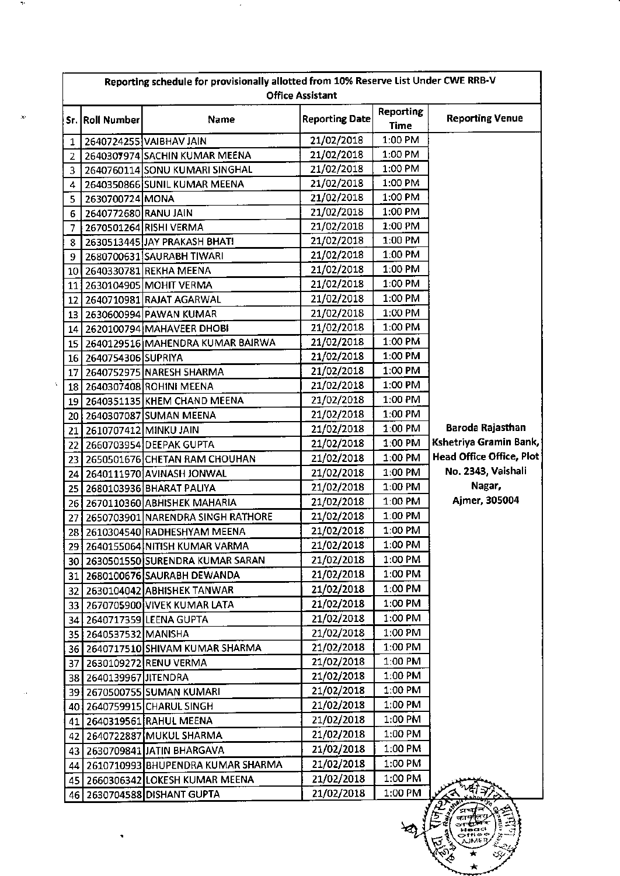| Reporting schedule for provisionally allotted from 10% Reserve List Under CWE RRB-V<br><b>Office Assistant</b> |                        |                                        |                       |                   |                          |
|----------------------------------------------------------------------------------------------------------------|------------------------|----------------------------------------|-----------------------|-------------------|--------------------------|
|                                                                                                                | Sr. Roll Number        | Name                                   | <b>Reporting Date</b> | Reporting<br>Time | <b>Reporting Venue</b>   |
| 1                                                                                                              |                        | 2640724255 VAIBHAV JAIN                | 21/02/2018            | 1:00 PM           |                          |
| 2                                                                                                              |                        | 2640307974 SACHIN KUMAR MEENA          | 21/02/2018            | 1:00 PM           |                          |
| 3                                                                                                              |                        | 2640760114 SONU KUMARI SINGHAL         | 21/02/2018            | 1:00 PM           |                          |
| 4                                                                                                              |                        | 2640350866 SUNIL KUMAR MEENA           | 21/02/2018            | 1:00 PM           |                          |
| 5                                                                                                              | 2630700724 MONA        |                                        | 21/02/2018            | 1:00 PM           |                          |
| 6                                                                                                              | 2640772680 RANU JAIN   |                                        | 21/02/2018            | 1:00 PM           |                          |
| 7                                                                                                              |                        | 2670501264 RISHI VERMA                 | 21/02/2018            | 1:00 PM           |                          |
| 8                                                                                                              |                        | 2630513445 JAY PRAKASH BHATI           | 21/02/2018            | 1:00 PM           |                          |
| 9                                                                                                              |                        | 2680700631 SAURABH TIWARI              | 21/02/2018            | 1:00 PM           |                          |
|                                                                                                                |                        | 10 2640330781 REKHA MEENA              | 21/02/2018            | 1:00 PM           |                          |
|                                                                                                                |                        | 11   2630104905   MOHIT VERMA          | 21/02/2018            | 1:00 PM           |                          |
| 12                                                                                                             |                        | 2640710981 RAJAT AGARWAL               | 21/02/2018            | 1:00 PM           |                          |
|                                                                                                                |                        | 13 2630600994 PAWAN KUMAR              | 21/02/2018            | 1:00 PM           |                          |
|                                                                                                                |                        | 14 2620100794 MAHAVEER DHOBI           | 21/02/2018            | 1:00 PM           |                          |
|                                                                                                                |                        | 15   2640129516 MAHENDRA KUMAR BAIRWA  | 21/02/2018            | 1:00 PM           |                          |
|                                                                                                                | 16 2640754306 SUPRIYA  |                                        | 21/02/2018            | 1:00 PM           |                          |
| 17                                                                                                             |                        | 2640752975 NARESH SHARMA               | 21/02/2018            | 1:00 PM           |                          |
|                                                                                                                |                        | 18 2640307408 ROHINI MEENA             | 21/02/2018            | 1:00 PM           |                          |
|                                                                                                                |                        | 19 2640351135 KHEM CHAND MEENA         | 21/02/2018            | 1:00 PM           |                          |
| 20                                                                                                             |                        | 2640307087 SUMAN MEENA                 | 21/02/2018            | 1:00 PM           |                          |
| 21                                                                                                             | 2610707412 MINKU JAIN  |                                        | 21/02/2018            | 1:00 PM           | Baroda Rajasthan         |
| 22                                                                                                             |                        | 2660703954 DEEPAK GUPTA                | 21/02/2018            | 1:00 PM           | Kshetriya Gramin Bank,   |
| 23                                                                                                             |                        | 2650501676 CHETAN RAM CHOUHAN          | 21/02/2018            | 1:00 PM           | Head Office Office, Plot |
| 24                                                                                                             |                        | 2640111970 AVINASH JONWAL              | 21/02/2018            | 1:00 PM           | No. 2343, Vaishali       |
| 25                                                                                                             |                        | 2680103936 BHARAT PALIYA               | 21/02/2018            | 1:00 PM           | Nagar,                   |
|                                                                                                                |                        | 26 2670110360 ABHISHEK MAHARIA         | 21/02/2018            | 1:00 PM           | Ajmer, 305004            |
| 27                                                                                                             |                        | 2650703901 NARENDRA SINGH RATHORE      | 21/02/2018            | 1:00 PM           |                          |
|                                                                                                                |                        | 28 2610304540 RADHESHYAM MEENA         | 21/02/2018            | 1:00 PM           |                          |
|                                                                                                                |                        | 29 2640155064 NITISH KUMAR VARMA       | 21/02/2018            | 1:00 PM           |                          |
|                                                                                                                |                        | 30 2630501550 SURENDRA KUMAR SARAN     | 21/02/2018            | 1:00 PM           |                          |
|                                                                                                                |                        | 31 2680100676 SAURABH DEWANDA          | 21/02/2018            | 1:00 PM           |                          |
|                                                                                                                |                        | 32 2630104042 ABHISHEK TANWAR          | 21/02/2018            | 1:00 PM           |                          |
|                                                                                                                |                        | 33 2670705900 VIVEK KUMAR LATA         | 21/02/2018            | 1:00 PM           |                          |
| 34                                                                                                             |                        | 2640717359 LEENA GUPTA                 | 21/02/2018            | $1:00$ PM         |                          |
|                                                                                                                | 35 2640537532 MANISHA  |                                        | 21/02/2018            | 1:00 PM           |                          |
|                                                                                                                |                        | 36   2640717510 SHIVAM KUMAR SHARMA    | 21/02/2018            | 1:00 PM           |                          |
| 37 I                                                                                                           |                        | 2630109272 RENU VERMA                  | 21/02/2018            | 1:00 PM           |                          |
|                                                                                                                | 38 2640139967 JITENDRA |                                        | 21/02/2018            | 1:00 PM           |                          |
|                                                                                                                |                        | 39 2670500755 SUMAN KUMARI             | 21/02/2018            | $1:00$ PM         |                          |
|                                                                                                                |                        | 40 2640759915 CHARUL SINGH             | 21/02/2018            | 1:00 PM           |                          |
| 41                                                                                                             |                        | 2640319561 RAHUL MEENA                 | 21/02/2018            | 1:00 PM           |                          |
|                                                                                                                |                        | 42 2640722887 MUKUL SHARMA             | 21/02/2018            | 1:00 PM           |                          |
|                                                                                                                |                        | 43   2630709841 JJATIN BHARGAVA        | 21/02/2018            | 1:00 PM           |                          |
|                                                                                                                |                        | 44   2610710993 BHUPENDRA KUMAR SHARMA | 21/02/2018            | 1:00 PM           |                          |
| 45                                                                                                             |                        | 2660306342 LOKESH KUMAR MEENA          | 21/02/2018            | 1:00 PM           |                          |
| 46.                                                                                                            |                        | 2630704588 DISHANT GUPTA               | 21/02/2018            | 1:00 PM           | 1252                     |

 $\frac{1}{\text{m}}$ 

ECA.

 $\begin{pmatrix} 2 & 1 \\ 1 & 1 \end{pmatrix}$ 

ধ

 $\cdot$ 

 $\bar{\rm s}$ 

 $\bar{\beta}$